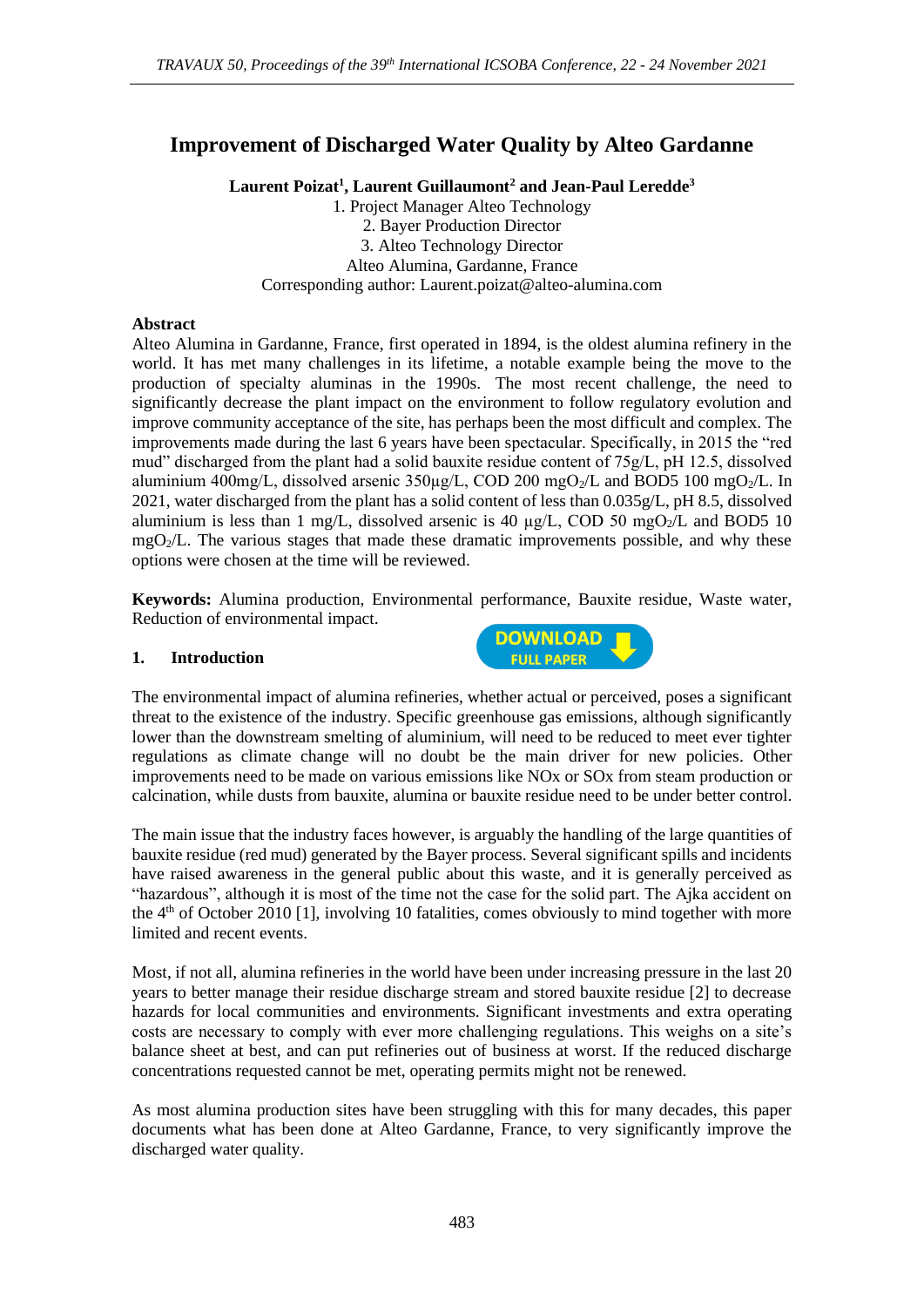## **Improvement of Discharged Water Quality by Alteo Gardanne**

**Laurent Poizat<sup>1</sup> , Laurent Guillaumont<sup>2</sup> and Jean-Paul Leredde<sup>3</sup>**

1. Project Manager Alteo Technology 2. Bayer Production Director 3. Alteo Technology Director Alteo Alumina, Gardanne, France Corresponding author: Laurent.poizat@alteo-alumina.com

## **Abstract**

Alteo Alumina in Gardanne, France, first operated in 1894, is the oldest alumina refinery in the world. It has met many challenges in its lifetime, a notable example being the move to the production of specialty aluminas in the 1990s. The most recent challenge, the need to significantly decrease the plant impact on the environment to follow regulatory evolution and improve community acceptance of the site, has perhaps been the most difficult and complex. The improvements made during the last 6 years have been spectacular. Specifically, in 2015 the "red mud" discharged from the plant had a solid bauxite residue content of 75g/L, pH 12.5, dissolved aluminium 400mg/L, dissolved arsenic  $350\mu g/L$ , COD 200 mgO<sub>2</sub>/L and BOD5 100 mgO<sub>2</sub>/L. In 2021, water discharged from the plant has a solid content of less than 0.035g/L, pH 8.5, dissolved aluminium is less than 1 mg/L, dissolved arsenic is 40  $\mu$ g/L, COD 50 mgO<sub>2</sub>/L and BOD5 10  $mgO<sub>2</sub>/L$ . The various stages that made these dramatic improvements possible, and why these options were chosen at the time will be reviewed.

**Keywords:** Alumina production, Environmental performance, Bauxite residue, Waste water, Reduction of environmental impact.

## **1. Introduction**



The environmental impact of alumina refineries, whether actual or perceived, poses a significant threat to the existence of the industry. Specific greenhouse gas emissions, although significantly lower than the downstream smelting of aluminium, will need to be reduced to meet ever tighter regulations as climate change will no doubt be the main driver for new policies. Other improvements need to be made on various emissions like NOx or SOx from steam production or calcination, while dusts from bauxite, alumina or bauxite residue need to be under better control.

The main issue that the industry faces however, is arguably the handling of the large quantities of bauxite residue (red mud) generated by the Bayer process. Several significant spills and incidents have raised awareness in the general public about this waste, and it is generally perceived as "hazardous", although it is most of the time not the case for the solid part. The Ajka accident on the  $4<sup>th</sup>$  of October 2010 [1], involving 10 fatalities, comes obviously to mind together with more limited and recent events.

Most, if not all, alumina refineries in the world have been under increasing pressure in the last 20 years to better manage their residue discharge stream and stored bauxite residue [2] to decrease hazards for local communities and environments. Significant investments and extra operating costs are necessary to comply with ever more challenging regulations. This weighs on a site's balance sheet at best, and can put refineries out of business at worst. If the reduced discharge concentrations requested cannot be met, operating permits might not be renewed.

As most alumina production sites have been struggling with this for many decades, this paper documents what has been done at Alteo Gardanne, France, to very significantly improve the discharged water quality.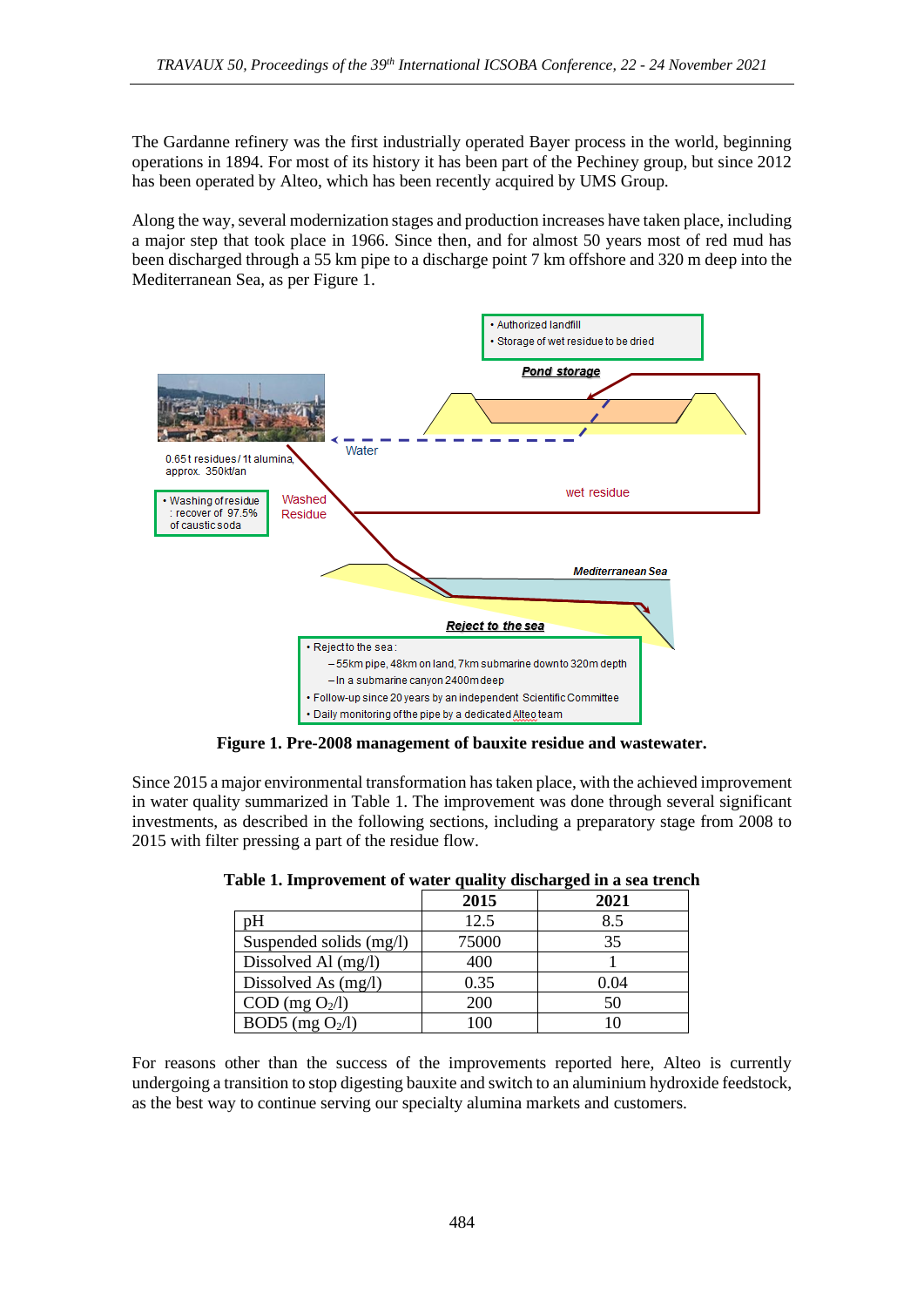The Gardanne refinery was the first industrially operated Bayer process in the world, beginning operations in 1894. For most of its history it has been part of the Pechiney group, but since 2012 has been operated by Alteo, which has been recently acquired by UMS Group.

Along the way, several modernization stages and production increases have taken place, including a major step that took place in 1966. Since then, and for almost 50 years most of red mud has been discharged through a 55 km pipe to a discharge point 7 km offshore and 320 m deep into the Mediterranean Sea, as per Figure 1.



**Figure 1. Pre-2008 management of bauxite residue and wastewater.**

Since 2015 a major environmental transformation has taken place, with the achieved improvement in water quality summarized in Table 1. The improvement was done through several significant investments, as described in the following sections, including a preparatory stage from 2008 to 2015 with filter pressing a part of the residue flow.

|                         | 2015  | 2021 |
|-------------------------|-------|------|
| pH                      | 12.5  | 8.5  |
| Suspended solids (mg/l) | 75000 | 35   |
| Dissolved Al (mg/l)     | 400   |      |
| Dissolved As $(mg/l)$   | 0.35  | 0.04 |
| $COD$ (mg $O2/l$ )      | 200   | 50   |
| BOD5 (mg $O_2/l$ )      | 100   | 10   |

**Table 1. Improvement of water quality discharged in a sea trench**

For reasons other than the success of the improvements reported here, Alteo is currently undergoing a transition to stop digesting bauxite and switch to an aluminium hydroxide feedstock, as the best way to continue serving our specialty alumina markets and customers.